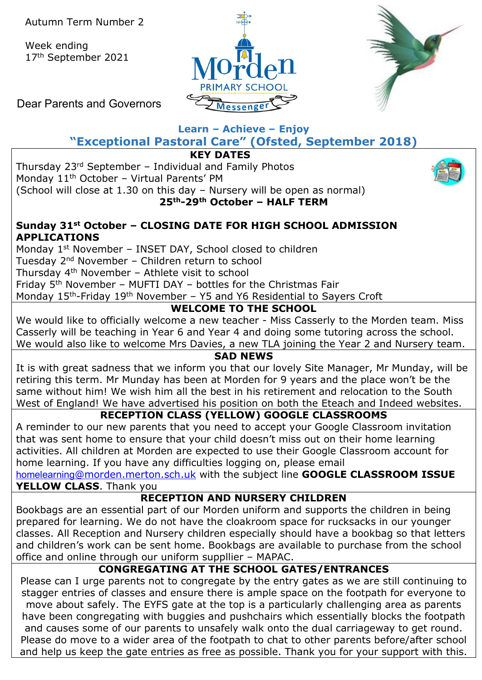Week ending 17th September 2021





Dear Parents and Governors

## **Learn – Achieve – Enjoy "Exceptional Pastoral Care" (Ofsted, September 2018)**

**KEY DATES**

Thursday 23rd September – Individual and Family Photos Monday 11<sup>th</sup> October - Virtual Parents' PM (School will close at 1.30 on this day – Nursery will be open as normal) **25th-29th October – HALF TERM**



### **Sunday 31st October – CLOSING DATE FOR HIGH SCHOOL ADMISSION APPLICATIONS**

Monday 1<sup>st</sup> November - INSET DAY, School closed to children

Tuesday 2nd November – Children return to school

Thursday 4th November – Athlete visit to school

Friday 5th November – MUFTI DAY – bottles for the Christmas Fair

Monday 15<sup>th</sup>-Friday 19<sup>th</sup> November – Y5 and Y6 Residential to Sayers Croft

## **WELCOME TO THE SCHOOL**

We would like to officially welcome a new teacher - Miss Casserly to the Morden team. Miss Casserly will be teaching in Year 6 and Year 4 and doing some tutoring across the school. We would also like to welcome Mrs Davies, a new TLA joining the Year 2 and Nursery team.

## **SAD NEWS**

It is with great sadness that we inform you that our lovely Site Manager, Mr Munday, will be retiring this term. Mr Munday has been at Morden for 9 years and the place won't be the same without him! We wish him all the best in his retirement and relocation to the South West of England! We have advertised his position on both the Eteach and Indeed websites.

# **RECEPTION CLASS (YELLOW) GOOGLE CLASSROOMS**

A reminder to our new parents that you need to accept your Google Classroom invitation that was sent home to ensure that your child doesn't miss out on their home learning activities. All children at Morden are expected to use their Google Classroom account for home learning. If you have any difficulties logging on, please email

homelearning[@morden.merton.sch.uk](mailto:homelearning@morden.merton.sch.uk) with the subject line **GOOGLE CLASSROOM ISSUE YELLOW CLASS**. Thank you

## **RECEPTION AND NURSERY CHILDREN**

Bookbags are an essential part of our Morden uniform and supports the children in being prepared for learning. We do not have the cloakroom space for rucksacks in our younger classes. All Reception and Nursery children especially should have a bookbag so that letters and children's work can be sent home. Bookbags are available to purchase from the school office and online through our uniform suppllier – MAPAC.

# **CONGREGATING AT THE SCHOOL GATES/ENTRANCES**

Please can I urge parents not to congregate by the entry gates as we are still continuing to stagger entries of classes and ensure there is ample space on the footpath for everyone to move about safely. The EYFS gate at the top is a particularly challenging area as parents have been congregating with buggies and pushchairs which essentially blocks the footpath and causes some of our parents to unsafely walk onto the dual carriageway to get round. Please do move to a wider area of the footpath to chat to other parents before/after school and help us keep the gate entries as free as possible. Thank you for your support with this.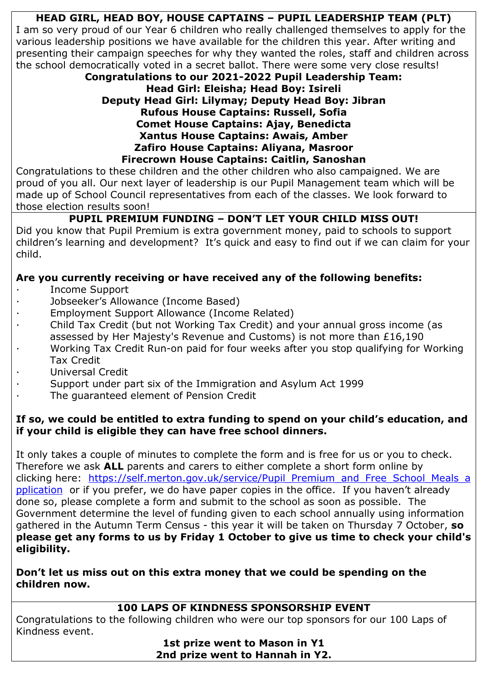# **HEAD GIRL, HEAD BOY, HOUSE CAPTAINS – PUPIL LEADERSHIP TEAM (PLT)**

I am so very proud of our Year 6 children who really challenged themselves to apply for the various leadership positions we have available for the children this year. After writing and presenting their campaign speeches for why they wanted the roles, staff and children across the school democratically voted in a secret ballot. There were some very close results!

#### **Congratulations to our 2021-2022 Pupil Leadership Team: Head Girl: Eleisha; Head Boy: Isireli Deputy Head Girl: Lilymay; Deputy Head Boy: Jibran Rufous House Captains: Russell, Sofia Comet House Captains: Ajay, Benedicta Xantus House Captains: Awais, Amber Zafiro House Captains: Aliyana, Masroor Firecrown House Captains: Caitlin, Sanoshan**

Congratulations to these children and the other children who also campaigned. We are proud of you all. Our next layer of leadership is our Pupil Management team which will be made up of School Council representatives from each of the classes. We look forward to those election results soon!

# **PUPIL PREMIUM FUNDING – DON'T LET YOUR CHILD MISS OUT!**

Did you know that Pupil Premium is extra government money, paid to schools to support children's learning and development? It's quick and easy to find out if we can claim for your child.

## **Are you currently receiving or have received any of the following benefits:**

- · Income Support
- Jobseeker's Allowance (Income Based)
- Employment Support Allowance (Income Related)
- · Child Tax Credit (but not Working Tax Credit) and your annual gross income (as assessed by Her Majesty's Revenue and Customs) is not more than £16,190
- · Working Tax Credit Run-on paid for four weeks after you stop qualifying for Working Tax Credit
- Universal Credit
- Support under part six of the Immigration and Asylum Act 1999
- The guaranteed element of Pension Credit

### **If so, we could be entitled to extra funding to spend on your child's education, and if your child is eligible they can have free school dinners.**

It only takes a couple of minutes to complete the form and is free for us or you to check. Therefore we ask **ALL** parents and carers to either complete a short form online by clicking here: [https://self.merton.gov.uk/service/Pupil\\_Premium\\_and\\_Free\\_School\\_Meals\\_a](https://self.merton.gov.uk/service/Pupil_Premium_and_Free_School_Meals_application) [pplication](https://self.merton.gov.uk/service/Pupil_Premium_and_Free_School_Meals_application) or if you prefer, we do have paper copies in the office. If you haven't already done so, please complete a form and submit to the school as soon as possible. The Government determine the level of funding given to each school annually using information gathered in the Autumn Term Census - this year it will be taken on Thursday 7 October, **so please get any forms to us by Friday 1 October to give us time to check your child's eligibility.**

**Don't let us miss out on this extra money that we could be spending on the children now.**

### **100 LAPS OF KINDNESS SPONSORSHIP EVENT**

Congratulations to the following children who were our top sponsors for our 100 Laps of Kindness event.

**1st prize went to Mason in Y1 2nd prize went to Hannah in Y2.**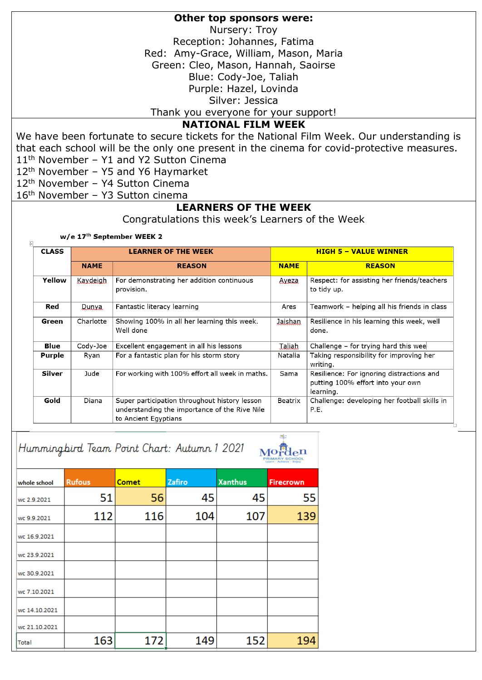#### **Other top sponsors were:**

Nursery: Troy

Reception: Johannes, Fatima

Red: Amy-Grace, William, Mason, Maria

Green: Cleo, Mason, Hannah, Saoirse

Blue: Cody-Joe, Taliah

Purple: Hazel, Lovinda

Silver: Jessica

Thank you everyone for your support!

#### **NATIONAL FILM WEEK**

We have been fortunate to secure tickets for the National Film Week. Our understanding is that each school will be the only one present in the cinema for covid-protective measures. 11<sup>th</sup> November - Y1 and Y2 Sutton Cinema

12<sup>th</sup> November - Y5 and Y6 Haymarket

12th November – Y4 Sutton Cinema

16th November – Y3 Sutton cinema

#### **LEARNERS OF THE WEEK**

Congratulations this week's Learners of the Week

w/e 17th September WEEK 2

 $\overline{+}$ 

| <b>CLASS</b>  | <b>LEARNER OF THE WEEK</b> |                                                                                                                        |             | <b>HIGH 5 - VALUE WINNER</b>                                                                |  |  |
|---------------|----------------------------|------------------------------------------------------------------------------------------------------------------------|-------------|---------------------------------------------------------------------------------------------|--|--|
|               | <b>NAME</b>                | <b>REASON</b>                                                                                                          | <b>NAME</b> | <b>REASON</b>                                                                               |  |  |
| Yellow        | Kaydeigh                   | For demonstrating her addition continuous<br>provision.                                                                | Ayeza       | Respect: for assisting her friends/teachers<br>to tidy up.                                  |  |  |
| Red           | Dunya.                     | Fantastic literacy learning                                                                                            | Ares        | Teamwork – helping all his friends in class                                                 |  |  |
| Green         | Charlotte                  | Showing 100% in all her learning this week.<br>Well done                                                               | Jaishan     | Resilience in his learning this week, well<br>done.                                         |  |  |
| Blue          | Cody-Joe                   | Excellent engagement in all his lessons                                                                                | Taliah      | Challenge - for trying hard this wee                                                        |  |  |
| Purple        | Ryan                       | For a fantastic plan for his storm story                                                                               | Natalia     | Taking responsibility for improving her<br>writing.                                         |  |  |
| <b>Silver</b> | Jude                       | For working with 100% effort all week in maths.                                                                        | Sama        | Resilience: For ignoring distractions and<br>putting 100% effort into your own<br>learning. |  |  |
| Gold          | Diana                      | Super participation throughout history lesson<br>understanding the importance of the Rive Nile<br>to Ancient Egyptians | Beatrix     | Challenge: developing her football skills in<br>P.E.                                        |  |  |

| Hummingbird Team Point Chart: Autumn 1 2021 |               |              |        |                |                  |  |  |
|---------------------------------------------|---------------|--------------|--------|----------------|------------------|--|--|
| whole school                                | <b>Rufous</b> | <b>Comet</b> | Zafiro | <b>Xanthus</b> | <b>Firecrown</b> |  |  |
| wc 2.9.2021                                 | 51            | 56           | 45     | 45             | 55               |  |  |
| wc 9.9.2021                                 | 112           | 116          | 104    | 107            | 139              |  |  |
| wc 16.9.2021                                |               |              |        |                |                  |  |  |
| wc 23.9.2021                                |               |              |        |                |                  |  |  |
| wc 30.9.2021                                |               |              |        |                |                  |  |  |
| wc 7.10.2021                                |               |              |        |                |                  |  |  |
| wc 14.10.2021                               |               |              |        |                |                  |  |  |
| wc 21.10.2021                               |               |              |        |                |                  |  |  |
| Total                                       | 163           | 172          | 149    | 152            | 194              |  |  |